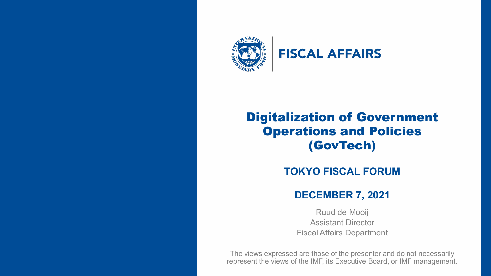

INTERNATIONAL MONETARY FUND 1, INTERNATIONAL MONETARY FUND 1, INTERNATIONAL MONETARY FUND 1, INTERNATIONAL MON

## **FISCAL AFFAIRS**

## Digitalization of Government Operations and Policies (GovTech)

## **TOKYO FISCAL FORUM**

### **DECEMBER 7, 2021**

Ruud de Mooij Assistant Director Fiscal Affairs Department

The views expressed are those of the presenter and do not necessarily represent the views of the IMF, its Executive Board, or IMF management.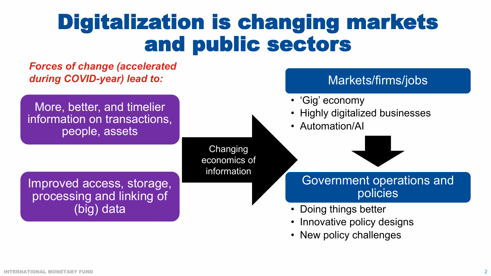# Digitalization is changing markets and public sectors

### *Forces of change (accelerated during COVID-year) lead to:*

More, better, and timelier information on transactions, people, assets

> Changing economics of information

Improved access, storage, processing and linking of (big) data

## Markets/firms/jobs

- 'Gig' economy
- Highly digitalized businesses
- Automation/AI

## Government operations and policies

- Doing things better
- Innovative policy designs
- New policy challenges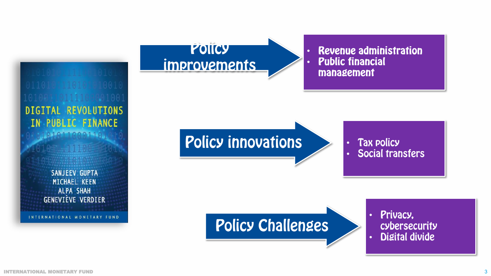**DIGITAL REVOLUTIONS** IN PUBLIC FINANCE 1010110001101

1.411106

**SANJEEV GUPTA** MICHAEL KEEN **ALPA SHAH GENEVIÈVE VERDIER** 

INTERNATIONAL MONETARY FUND



**Revenue administration** • **Public financial** •management

**Policy innovations** 

**Tax policy** • **Social transfers** •

## **Policy Challenges**

Privacy, • cybersecurity **Digital divide** •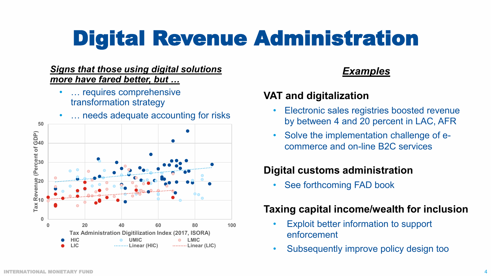# Digital Revenue Administration

#### *Signs that those using digital solutions more have fared better, but …*

- ... requires comprehensive transformation strategy
- ... needs adequate accounting for risks



## *Examples*

## **VAT and digitalization**

- Electronic sales registries boosted revenue by between 4 and 20 percent in LAC, AFR
- Solve the implementation challenge of ecommerce and on-line B2C services

## **Digital customs administration**

• See forthcoming FAD book

## **Taxing capital income/wealth for inclusion**

- Exploit better information to support enforcement
- Subsequently improve policy design too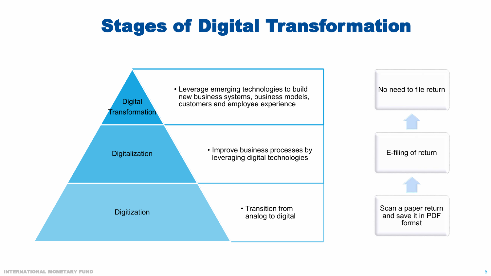## Stages of Digital Transformation

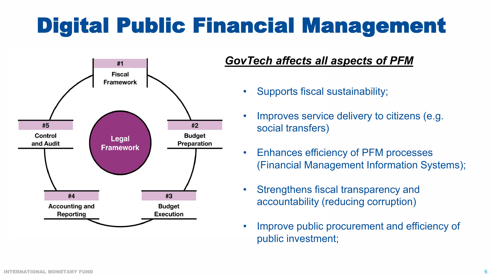# Digital Public Financial Management



## *GovTech affects all aspects of PFM*

- Supports fiscal sustainability;
- Improves service delivery to citizens (e.g. social transfers)
- Enhances efficiency of PFM processes (Financial Management Information Systems);
- Strengthens fiscal transparency and accountability (reducing corruption)
- Improve public procurement and efficiency of public investment;